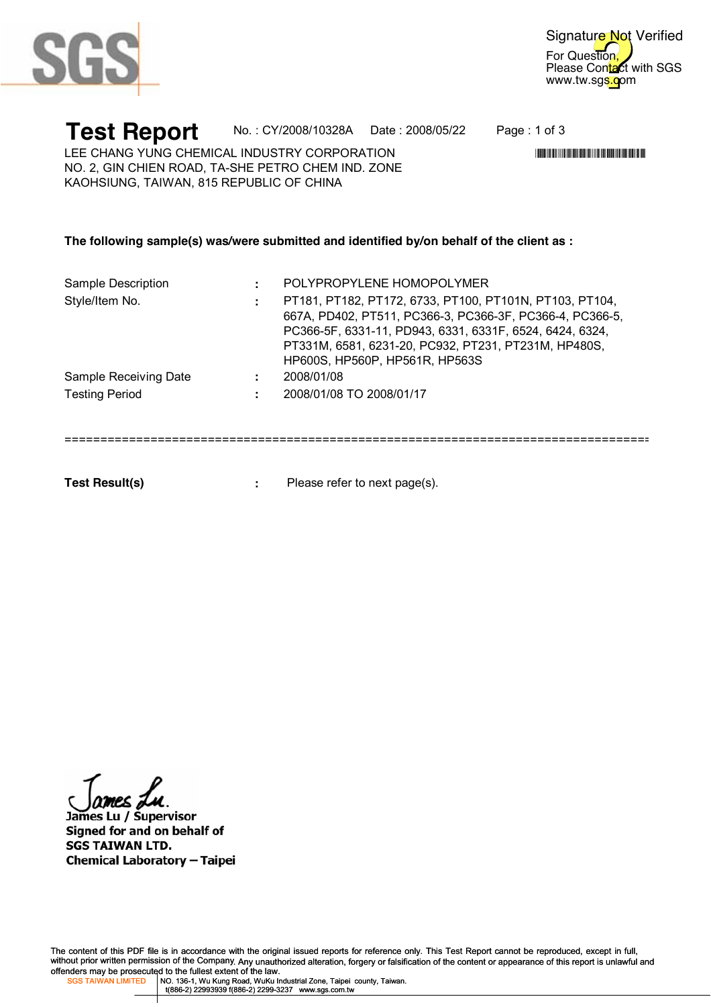

For Question, Please Contact with SGS www.tw.sgs.com Signature Not Verified

**Test Report** No. : CY/2008/10328A Date : 2008/05/22 Page : 1 of 3

\*CY/2008/2010 AT ANY AND AN UNIT AND AN UNIT AND ANY AND ANY AND A STATE OF A

LEE CHANG YUNG CHEMICAL INDUSTRY CORPORATION NO. 2, GIN CHIEN ROAD, TA-SHE PETRO CHEM IND. ZONE KAOHSIUNG, TAIWAN, 815 REPUBLIC OF CHINA

#### **The following sample(s) was/were submitted and identified by/on behalf of the client as :**

| Sample Description    | POLYPROPYLENE HOMOPOLYMER                                                                                                                                                                                                                                                 |
|-----------------------|---------------------------------------------------------------------------------------------------------------------------------------------------------------------------------------------------------------------------------------------------------------------------|
| Style/Item No.        | PT181, PT182, PT172, 6733, PT100, PT101N, PT103, PT104,<br>667A, PD402, PT511, PC366-3, PC366-3F, PC366-4, PC366-5,<br>PC366-5F, 6331-11, PD943, 6331, 6331F, 6524, 6424, 6324,<br>PT331M, 6581, 6231-20, PC932, PT231, PT231M, HP480S,<br>HP600S, HP560P, HP561R, HP563S |
| Sample Receiving Date | 2008/01/08                                                                                                                                                                                                                                                                |
| <b>Testing Period</b> | 2008/01/08 TO 2008/01/17                                                                                                                                                                                                                                                  |
|                       |                                                                                                                                                                                                                                                                           |

- **Test Result(s) :**
- Please refer to next page(s).

James Lu / Supervisor Signed for and on behalf of **SGS TAIWAN LTD. Chemical Laboratory - Taipei** 

The content of this PDF file is in accordance with the original issued reports for reference only. This Test Report cannot be reproduced, except in full, without prior written permission of the Company. Any unauthorized alteration, forgery or falsification of the content or appearance of this report is unlawful and offenders may be prosecuted to the fullest extent of the law.<br>SGS TAIWAN LIMITED | NO. 136-1, Wu Kung Road, WuKu Industrial Zone, Taipei county, Taiwan.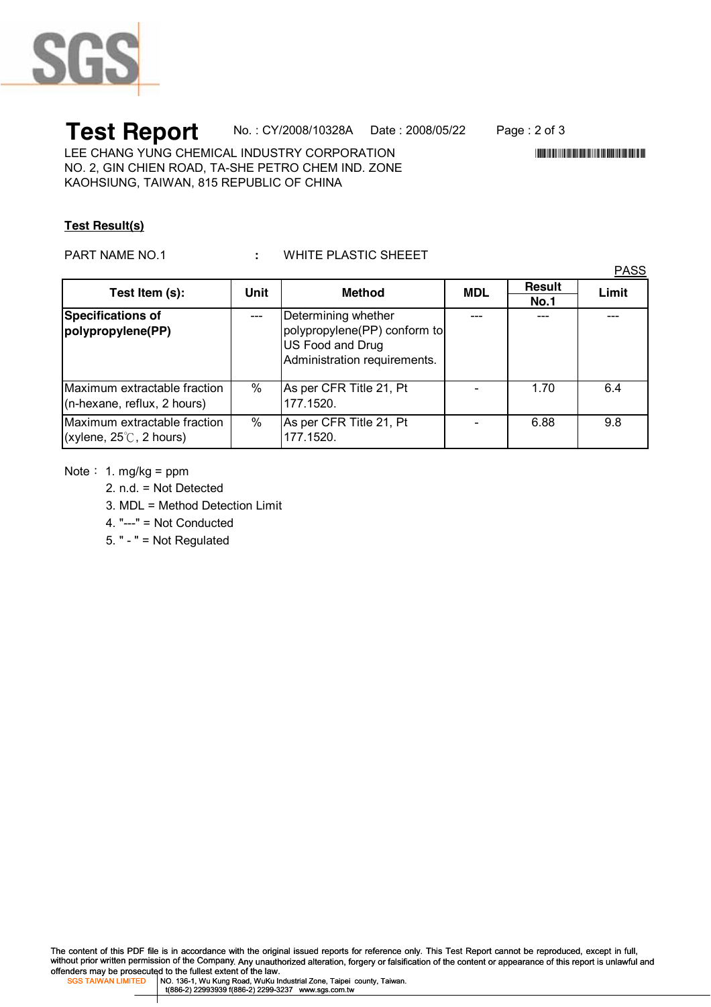

# **Test Report** No.: CY/2008/10328A Date: 2008/05/22 Page: 2 of 3<br>LEE CHANG YUNG CHEMICAL INDUSTRY CORPORATION

LEE CHANG YUNG CHEMICAL INDUSTRY CORPORATION NO. 2, GIN CHIEN ROAD, TA-SHE PETRO CHEM IND. ZONE KAOHSIUNG, TAIWAN, 815 REPUBLIC OF CHINA

### **Test Result(s)**

#### PART NAME NO.1 **:** WHITE PLASTIC SHEEET

PASS

| Test Item (s):                                                    | Unit | <b>Method</b>                                                                                           | <b>MDL</b> | <b>Result</b><br><b>No.1</b> | Limit |
|-------------------------------------------------------------------|------|---------------------------------------------------------------------------------------------------------|------------|------------------------------|-------|
| Specifications of<br>polypropylene(PP)                            |      | Determining whether<br>polypropylene(PP) conform to<br>US Food and Drug<br>Administration requirements. |            |                              |       |
| Maximum extractable fraction<br>$(n$ -hexane, reflux, 2 hours)    | $\%$ | As per CFR Title 21, Pt<br>177.1520.                                                                    |            | 1.70                         | 6.4   |
| Maximum extractable fraction<br>(xylene, $25^{\circ}$ C, 2 hours) | $\%$ | As per CFR Title 21, Pt<br>177.1520.                                                                    |            | 6.88                         | 9.8   |

- Note:  $1.$  mg/kg = ppm
	- 2. n.d. = Not Detected
	- 3. MDL = Method Detection Limit
	- 4. "---" = Not Conducted
	- 5. " " = Not Regulated

The content of this PDF file is in accordance with the original issued reports for reference only. This Test Report cannot be reproduced, except in full, without prior written permission of the Company. Any unauthorized alteration, forgery or falsification of the content or appearance of this report is unlawful and offenders may be prosecuted to the fullest extent of the law.<br>SGS TAIWAN LIMITED | NO. 136-1, Wu Kung Road, WuKu Industrial Zone, Taipei county, Taiwan.